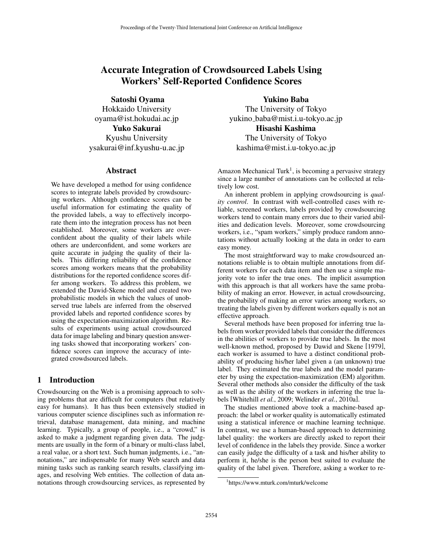# Accurate Integration of Crowdsourced Labels Using Workers' Self-Reported Confidence Scores

Satoshi Oyama

Hokkaido University oyama@ist.hokudai.ac.jp Yuko Sakurai Kyushu University ysakurai@inf.kyushu-u.ac.jp

#### Abstract

We have developed a method for using confidence scores to integrate labels provided by crowdsourcing workers. Although confidence scores can be useful information for estimating the quality of the provided labels, a way to effectively incorporate them into the integration process has not been established. Moreover, some workers are overconfident about the quality of their labels while others are underconfident, and some workers are quite accurate in judging the quality of their labels. This differing reliability of the confidence scores among workers means that the probability distributions for the reported confidence scores differ among workers. To address this problem, we extended the Dawid-Skene model and created two probabilistic models in which the values of unobserved true labels are inferred from the observed provided labels and reported confidence scores by using the expectation-maximization algorithm. Results of experiments using actual crowdsourced data for image labeling and binary question answering tasks showed that incorporating workers' confidence scores can improve the accuracy of integrated crowdsourced labels.

# 1 Introduction

Crowdsourcing on the Web is a promising approach to solving problems that are difficult for computers (but relatively easy for humans). It has thus been extensively studied in various computer science disciplines such as information retrieval, database management, data mining, and machine learning. Typically, a group of people, i.e., a "crowd," is asked to make a judgment regarding given data. The judgments are usually in the form of a binary or multi-class label, a real value, or a short text. Such human judgments, i.e., "annotations," are indispensable for many Web search and data mining tasks such as ranking search results, classifying images, and resolving Web entities. The collection of data annotations through crowdsourcing services, as represented by

Yukino Baba The University of Tokyo yukino baba@mist.i.u-tokyo.ac.jp Hisashi Kashima The University of Tokyo kashima@mist.i.u-tokyo.ac.jp

Amazon Mechanical Turk<sup>1</sup>, is becoming a pervasive strategy since a large number of annotations can be collected at relatively low cost.

An inherent problem in applying crowdsourcing is *quality control*. In contrast with well-controlled cases with reliable, screened workers, labels provided by crowdsourcing workers tend to contain many errors due to their varied abilities and dedication levels. Moreover, some crowdsourcing workers, i.e., "spam workers," simply produce random annotations without actually looking at the data in order to earn easy money.

The most straightforward way to make crowdsourced annotations reliable is to obtain multiple annotations from different workers for each data item and then use a simple majority vote to infer the true ones. The implicit assumption with this approach is that all workers have the same probability of making an error. However, in actual crowdsourcing, the probability of making an error varies among workers, so treating the labels given by different workers equally is not an effective approach.

Several methods have been proposed for inferring true labels from worker provided labels that consider the differences in the abilities of workers to provide true labels. In the most well-known method, proposed by Dawid and Skene [1979], each worker is assumed to have a distinct conditional probability of producing his/her label given a (an unknown) true label. They estimated the true labels and the model parameter by using the expectation-maximization (EM) algorithm. Several other methods also consider the difficulty of the task as well as the ability of the workers in inferring the true labels [Whitehill *et al.*, 2009; Welinder *et al.*, 2010a].

The studies mentioned above took a machine-based approach: the label or worker quality is automatically estimated using a statistical inference or machine learning technique. In contrast, we use a human-based approach to determining label quality: the workers are directly asked to report their level of confidence in the labels they provide. Since a worker can easily judge the difficulty of a task and his/her ability to perform it, he/she is the person best suited to evaluate the quality of the label given. Therefore, asking a worker to re-

<sup>1</sup> https://www.mturk.com/mturk/welcome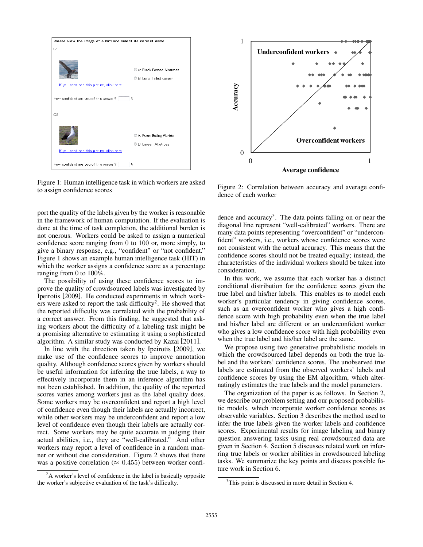

Figure 1: Human intelligence task in which workers are asked to assign confidence scores

port the quality of the labels given by the worker is reasonable in the framework of human computation. If the evaluation is done at the time of task completion, the additional burden is not onerous. Workers could be asked to assign a numerical confidence score ranging from 0 to 100 or, more simply, to give a binary response, e.g., "confident" or "not confident." Figure 1 shows an example human intelligence task (HIT) in which the worker assigns a confidence score as a percentage ranging from 0 to 100%.

The possibility of using these confidence scores to improve the quality of crowdsourced labels was investigated by Ipeirotis [2009]. He conducted experiments in which workers were asked to report the task difficulty<sup>2</sup>. He showed that the reported difficulty was correlated with the probability of a correct answer. From this finding, he suggested that asking workers about the difficulty of a labeling task might be a promising alternative to estimating it using a sophisticated algorithm. A similar study was conducted by Kazai [2011].

In line with the direction taken by Ipeirotis [2009], we make use of the confidence scores to improve annotation quality. Although confidence scores given by workers should be useful information for inferring the true labels, a way to effectively incorporate them in an inference algorithm has not been established. In addition, the quality of the reported scores varies among workers just as the label quality does. Some workers may be overconfident and report a high level of confidence even though their labels are actually incorrect, while other workers may be underconfident and report a low level of confidence even though their labels are actually correct. Some workers may be quite accurate in judging their actual abilities, i.e., they are "well-calibrated." And other workers may report a level of confidence in a random manner or without due consideration. Figure 2 shows that there was a positive correlation ( $\approx 0.455$ ) between worker confi-



Figure 2: Correlation between accuracy and average confidence of each worker

dence and accuracy<sup>3</sup>. The data points falling on or near the diagonal line represent "well-calibrated" workers. There are many data points representing "overconfident" or "underconfident" workers, i.e., workers whose confidence scores were not consistent with the actual accuracy. This means that the confidence scores should not be treated equally; instead, the characteristics of the individual workers should be taken into consideration.

In this work, we assume that each worker has a distinct conditional distribution for the confidence scores given the true label and his/her labels. This enables us to model each worker's particular tendency in giving confidence scores, such as an overconfident worker who gives a high confidence score with high probability even when the true label and his/her label are different or an underconfident worker who gives a low confidence score with high probability even when the true label and his/her label are the same.

We propose using two generative probabilistic models in which the crowdsourced label depends on both the true label and the workers' confidence scores. The unobserved true labels are estimated from the observed workers' labels and confidence scores by using the EM algorithm, which alternatingly estimates the true labels and the model parameters.

The organization of the paper is as follows. In Section 2, we describe our problem setting and our proposed probabilistic models, which incorporate worker confidence scores as observable variables. Section 3 describes the method used to infer the true labels given the worker labels and confidence scores. Experimental results for image labeling and binary question answering tasks using real crowdsourced data are given in Section 4. Section 5 discusses related work on inferring true labels or worker abilities in crowdsourced labeling tasks. We summarize the key points and discuss possible future work in Section 6.

<sup>&</sup>lt;sup>2</sup>A worker's level of confidence in the label is basically opposite the worker's subjective evaluation of the task's difficulty.

<sup>&</sup>lt;sup>3</sup>This point is discussed in more detail in Section 4.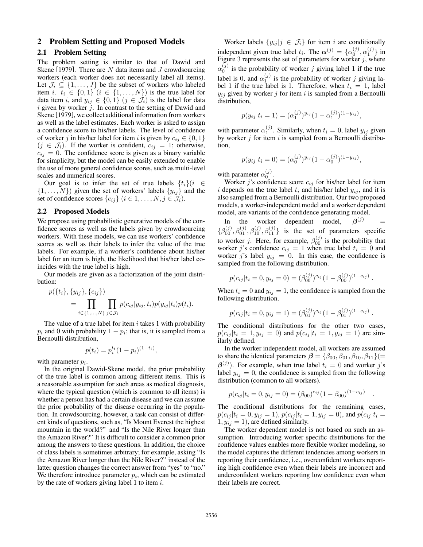### 2 Problem Setting and Proposed Models

#### 2.1 Problem Setting

The problem setting is similar to that of Dawid and Skene [1979]. There are  $N$  data items and  $J$  crowdsourcing workers (each worker does not necessarily label all items). Let  $\mathcal{J}_i \subseteq \{1, \ldots, J\}$  be the subset of workers who labeled item i.  $t_i \in \{0,1\}$   $(i \in \{1,\ldots,N\})$  is the true label for data item i, and  $y_{ij} \in \{0,1\}$   $(j \in \mathcal{J}_i)$  is the label for data i given by worker  $\overline{j}$ . In contrast to the setting of Dawid and Skene [1979], we collect additional information from workers as well as the label estimates. Each worker is asked to assign a confidence score to his/her labels. The level of confidence of worker j in his/her label for item i is given by  $c_{ij} \in \{0, 1\}$  $(j \in \mathcal{J}_i)$ . If the worker is confident,  $c_{ij} = 1$ ; otherwise,  $c_{ij} = 0$ . The confidence score is given as a binary variable for simplicity, but the model can be easily extended to enable the use of more general confidence scores, such as multi-level scales and numerical scores.

Our goal is to infer the set of true labels  $\{t_i\}(i \in$  $\{1, \ldots, N\}$  given the set of workers' labels  $\{y_{ij}\}\$  and the set of confidence scores  $\{c_{ij}\}\ (i \in 1, \ldots, N, j \in \mathcal{J}_i).$ 

#### 2.2 Proposed Models

We propose using probabilistic generative models of the confidence scores as well as the labels given by crowdsourcing workers. With these models, we can use workers' confidence scores as well as their labels to infer the value of the true labels. For example, if a worker's confidence about his/her label for an item is high, the likelihood that his/her label coincides with the true label is high.

Our models are given as a factorization of the joint distribution:

$$
p({ti}, {yij}, {cij})
$$
  
= 
$$
\prod_{i \in {1,...,N}} \prod_{j \in \mathcal{J}_i} p(c_{ij}|y_{ij}, t_i) p(y_{ij}|t_i) p(t_i).
$$

The value of a true label for item  $i$  takes 1 with probability  $p_i$  and 0 with probability  $1 - p_i$ ; that is, it is sampled from a Bernoulli distribution,

$$
p(t_i) = p_i^{t_i} (1 - p_i)^{(1 - t_i)},
$$

with parameter  $p_i$ .

In the original Dawid-Skene model, the prior probability of the true label is common among different items. This is a reasonable assumption for such areas as medical diagnosis, where the typical question (which is common to all items) is whether a person has had a certain disease and we can assume the prior probability of the disease occurring in the population. In crowdsourcing, however, a task can consist of different kinds of questions, such as, "Is Mount Everest the highest mountain in the world?" and "Is the Nile River longer than the Amazon River?" It is difficult to consider a common prior among the answers to these questions. In addition, the choice of class labels is sometimes arbitrary; for example, asking "Is the Amazon River longer than the Nile River?" instead of the latter question changes the correct answer from "yes" to "no." We therefore introduce parameter  $p_i$ , which can be estimated by the rate of workers giving label 1 to item  $i$ .

Worker labels  $\{y_{ij} | j \in \mathcal{J}_i\}$  for item i are conditionally independent given true label  $t_i$ . The  $\alpha^{(j)} = {\alpha_0^{(j)}, \alpha_1^{(j)}}$  in Figure 3 represents the set of parameters for worker  $j$ , where  $\alpha_0^{(j)}$  is the probability of worker j giving label 1 if the true label is 0, and  $\alpha_1^{(j)}$  is the probability of worker j giving label 1 if the true label is 1. Therefore, when  $t_i = 1$ , label  $y_{ij}$  given by worker j for item i is sampled from a Bernoulli distribution,

$$
p(y_{ij}|t_i=1) = (\alpha_1^{(j)})^{y_{ij}} (1 - \alpha_1^{(j)})^{(1 - y_{ij})},
$$

with parameter  $\alpha_1^{(j)}$ . Similarly, when  $t_i = 0$ , label  $y_{ij}$  given by worker  $j$  for item  $i$  is sampled from a Bernoulli distribution,

$$
p(y_{ij}|t_i=0) = (\alpha_0^{(j)})^{y_{ij}} (1 - \alpha_0^{(j)})^{(1 - y_{ij})},
$$

with parameter  $\alpha_0^{(j)}$ .

Worker j's confidence score  $c_{ij}$  for his/her label for item i depends on the true label  $t_i$  and his/her label  $y_{ij}$ , and it is also sampled from a Bernoulli distribution. Our two proposed models, a worker-independent model and a worker dependent model, are variants of the confidence generating model.

In the worker dependent model,  $\boldsymbol{\beta}^{(j)}$  =  $\{\beta_{00}^{(j)}, \beta_{01}^{(j)}, \beta_{10}^{(j)}, \beta_{11}^{(j)}\}$  is the set of parameters specific to worker *j*. Here, for example,  $\beta_{00}^{(j)}$  is the probability that worker j's confidence  $c_{ij} = 1$  when true label  $t_i = 0$  and worker j's label  $y_{ij} = 0$ . In this case, the confidence is sampled from the following distribution.

$$
p(c_{ij}|t_i=0,y_{ij}=0)=(\beta_{00}^{(j)})^{c_{ij}}(1-\beta_{00}^{(j)})^{(1-c_{ij})}.
$$

When  $t_i = 0$  and  $y_{ij} = 1$ , the confidence is sampled from the following distribution.

$$
p(c_{ij}|t_i=0,y_{ij}=1)=(\beta_{01}^{(j)})^{c_{ij}}(1-\beta_{01}^{(j)})^{(1-c_{ij})}.
$$

The conditional distributions for the other two cases,  $p(c_{ij} | t_i = 1, y_{ij} = 0)$  and  $p(c_{ij} | t_i = 1, y_{ij} = 1)$  are similarly defined.

In the worker independent model, all workers are assumed to share the identical parameters  $\beta = {\beta_{00}, \beta_{01}, \beta_{10}, \beta_{11}}(=$  $\beta^{(j)}$ ). For example, when true label  $t_i = 0$  and worker j's label  $y_{ij} = 0$ , the confidence is sampled from the following distribution (common to all workers).

$$
p(c_{ij}|t_i = 0, y_{ij} = 0) = (\beta_{00})^{c_{ij}} (1 - \beta_{00})^{(1 - c_{ij})}
$$

.

The conditional distributions for the remaining cases,  $p(c_{ij} | t_i = 0, y_{ij} = 1), p(c_{ij} | t_i = 1, y_{ij} = 0)$ , and  $p(c_{ij} | t_i = 1)$  $1, y_{ij} = 1$ , are defined similarly.

The worker dependent model is not based on such an assumption. Introducing worker specific distributions for the confidence values enables more flexible worker modeling, so the model captures the different tendencies among workers in reporting their confidence, i.e., overconfident workers reporting high confidence even when their labels are incorrect and underconfident workers reporting low confidence even when their labels are correct.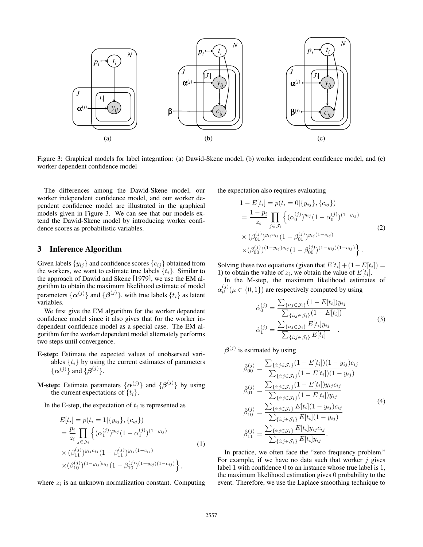

Figure 3: Graphical models for label integration: (a) Dawid-Skene model, (b) worker independent confidence model, and (c) worker dependent confidence model

The differences among the Dawid-Skene model, our worker independent confidence model, and our worker dependent confidence model are illustrated in the graphical models given in Figure 3. We can see that our models extend the Dawid-Skene model by introducing worker confidence scores as probabilistic variables.

#### 3 Inference Algorithm

Given labels  $\{y_{ij}\}\$ and confidence scores  $\{c_{ij}\}\$ obtained from the workers, we want to estimate true labels  $\{t_i\}$ . Similar to the approach of Dawid and Skene [1979], we use the EM algorithm to obtain the maximum likelihood estimate of model parameters  $\{\boldsymbol{\alpha}^{(j)}\}$  and  $\{\boldsymbol{\beta}^{(j)}\}$ , with true labels  $\{t_i\}$  as latent variables.

We first give the EM algorithm for the worker dependent confidence model since it also gives that for the worker independent confidence model as a special case. The EM algorithm for the worker dependent model alternately performs two steps until convergence.

- E-step: Estimate the expected values of unobserved variables  $\{t_i\}$  by using the current estimates of parameters  $\{\alpha^{(j)}\}$  and  $\{\beta^{(j)}\}.$
- **M-step:** Estimate parameters  $\{\alpha^{(j)}\}$  and  $\{\beta^{(j)}\}$  by using the current expectations of  $\{t_i\}$ .

In the E-step, the expectation of  $t_i$  is represented as

$$
E[t_i] = p(t_i = 1 | \{y_{ij}\}, \{c_{ij}\})
$$
  
\n
$$
= \frac{p_i}{z_i} \prod_{j \in \mathcal{J}_i} \left\{ (\alpha_1^{(j)})^{y_{ij}} (1 - \alpha_1^{(j)})^{(1 - y_{ij})} \right\}
$$
  
\n
$$
\times (\beta_{11}^{(j)})^{y_{ij}c_{ij}} (1 - \beta_{11}^{(j)})^{y_{ij}(1 - c_{ij})}
$$
  
\n
$$
\times (\beta_{10}^{(j)})^{(1 - y_{ij})c_{ij}} (1 - \beta_{10}^{(j)})^{(1 - y_{ij})(1 - c_{ij})} \right\},
$$
  
\n(1)

where  $z_i$  is an unknown normalization constant. Computing

the expectation also requires evaluating

$$
1 - E[t_i] = p(t_i = 0 | \{y_{ij}\}, \{c_{ij}\})
$$
  
\n
$$
= \frac{1 - p_i}{z_i} \prod_{j \in \mathcal{J}_i} \left\{ (\alpha_0^{(j)})^{y_{ij}} (1 - \alpha_0^{(j)})^{(1 - y_{ij})} \times (\beta_{01}^{(j)})^{y_{ij}c_{ij}} (1 - \beta_{01}^{(j)})^{y_{ij}(1 - c_{ij})} \times (\beta_{00}^{(j)})^{(1 - y_{ij})c_{ij}} (1 - \beta_{00}^{(j)})^{(1 - y_{ij})(1 - c_{ij})} \right\}.
$$
\n(2)

Solving these two equations (given that  $E[t_i] + (1 - E[t_i]) =$ 1) to obtain the value of  $z_i$ , we obtain the value of  $E[t_i]$ .

In the M-step, the maximum likelihood estimates of  $\alpha_{\mu}^{(j)}(\mu \in \{0,1\})$  are respectively computed by using

$$
\hat{\alpha}_0^{(j)} = \frac{\sum_{\{i: j \in \mathcal{J}_i\}} (1 - E[t_i]) y_{ij}}{\sum_{\{i: j \in \mathcal{J}_i\}} (1 - E[t_i])}
$$
\n
$$
\hat{\alpha}_1^{(j)} = \frac{\sum_{\{i: j \in \mathcal{J}_i\}} E[t_i] y_{ij}}{\sum_{\{i: j \in \mathcal{J}_i\}} E[t_i]} \quad .
$$
\n(3)

 $\beta^{(j)}$  is estimated by using

$$
\hat{\beta}_{00}^{(j)} = \frac{\sum_{\{i:j \in \mathcal{J}_i\}} (1 - E[t_i])(1 - y_{ij})c_{ij}}{\sum_{\{i:j \in \mathcal{J}_i\}} (1 - E[t_i])(1 - y_{ij})}
$$
\n
$$
\hat{\beta}_{01}^{(j)} = \frac{\sum_{\{i:j \in \mathcal{J}_i\}} (1 - E[t_i])y_{ij}c_{ij}}{\sum_{\{i:j \in \mathcal{J}_i\}} (1 - E[t_i])y_{ij}}
$$
\n
$$
\hat{\beta}_{10}^{(j)} = \frac{\sum_{\{i:j \in \mathcal{J}_i\}} E[t_i](1 - y_{ij})c_{ij}}{\sum_{\{i:j \in \mathcal{J}_i\}} E[t_i](1 - y_{ij})}
$$
\n
$$
\hat{\beta}_{11}^{(j)} = \frac{\sum_{\{i:j \in \mathcal{J}_i\}} E[t_i]y_{ij}c_{ij}}{\sum_{\{i:j \in \mathcal{J}_i\}} E[t_i]y_{ij}}.
$$
\n(4)

In practice, we often face the "zero frequency problem." For example, if we have no data such that worker  $j$  gives label 1 with confidence 0 to an instance whose true label is 1, the maximum likelihood estimation gives 0 probability to the event. Therefore, we use the Laplace smoothing technique to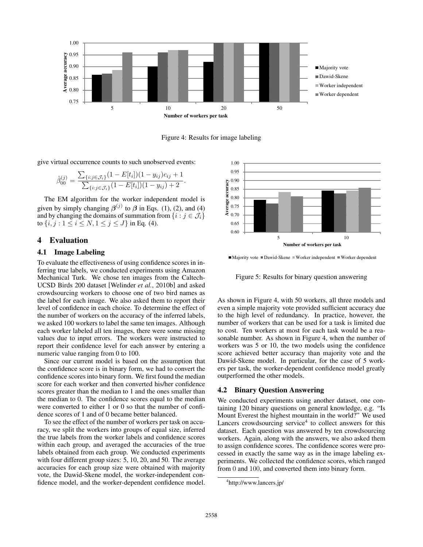

Figure 4: Results for image labeling

give virtual occurrence counts to such unobserved events:

$$
\hat{\beta}_{00}^{(j)} = \frac{\sum_{\{i:j \in \mathcal{J}_i\}} (1 - E[t_i])(1 - y_{ij})c_{ij} + 1}{\sum_{\{i:j \in \mathcal{J}_i\}} (1 - E[t_i])(1 - y_{ij}) + 2}.
$$

The EM algorithm for the worker independent model is given by simply changing  $\beta^{(j)}$  to  $\beta$  in Eqs. (1), (2), and (4) and by changing the domains of summation from  $\{i : j \in \mathcal{J}_i\}$ to  $\{i, j : 1 \le i \le N, 1 \le j \le J\}$  in Eq. (4).

### 4 Evaluation

#### 4.1 Image Labeling

To evaluate the effectiveness of using confidence scores in inferring true labels, we conducted experiments using Amazon Mechanical Turk. We chose ten images from the Caltech-UCSD Birds 200 dataset [Welinder *et al.*, 2010b] and asked crowdsourcing workers to choose one of two bird names as the label for each image. We also asked them to report their level of confidence in each choice. To determine the effect of the number of workers on the accuracy of the inferred labels, we asked 100 workers to label the same ten images. Although each worker labeled all ten images, there were some missing values due to input errors. The workers were instructed to report their confidence level for each answer by entering a numeric value ranging from 0 to 100.

Since our current model is based on the assumption that the confidence score is in binary form, we had to convert the confidence scores into binary form. We first found the median score for each worker and then converted his/her confidence scores greater than the median to 1 and the ones smaller than the median to 0. The confidence scores equal to the median were converted to either 1 or 0 so that the number of confidence scores of 1 and of 0 became better balanced.

To see the effect of the number of workers per task on accuracy, we split the workers into groups of equal size, inferred the true labels from the worker labels and confidence scores within each group, and averaged the accuracies of the true labels obtained from each group. We conducted experiments with four different group sizes: 5, 10, 20, and 50. The average accuracies for each group size were obtained with majority vote, the Dawid-Skene model, the worker-independent confidence model, and the worker-dependent confidence model.



 $\blacksquare$ Majority vote  $\blacksquare$ Dawid-Skene  $\blacksquare$ Worker independent  $\blacksquare$ Worker dependent

Figure 5: Results for binary question answering

As shown in Figure 4, with 50 workers, all three models and even a simple majority vote provided sufficient accuracy due to the high level of redundancy. In practice, however, the number of workers that can be used for a task is limited due to cost. Ten workers at most for each task would be a reasonable number. As shown in Figure 4, when the number of workers was 5 or 10, the two models using the confidence score achieved better accuracy than majority vote and the Dawid-Skene model. In particular, for the case of 5 workers per task, the worker-dependent confidence model greatly outperformed the other models.

#### 4.2 Binary Question Answering

We conducted experiments using another dataset, one containing 120 binary questions on general knowledge, e.g. "Is Mount Everest the highest mountain in the world?" We used Lancers crowdsourcing service<sup>4</sup> to collect answers for this dataset. Each question was answered by ten crowdsourcing workers. Again, along with the answers, we also asked them to assign confidence scores. The confidence scores were processed in exactly the same way as in the image labeling experiments. We collected the confidence scores, which ranged from 0 and 100, and converted them into binary form.

<sup>4</sup> http://www.lancers.jp/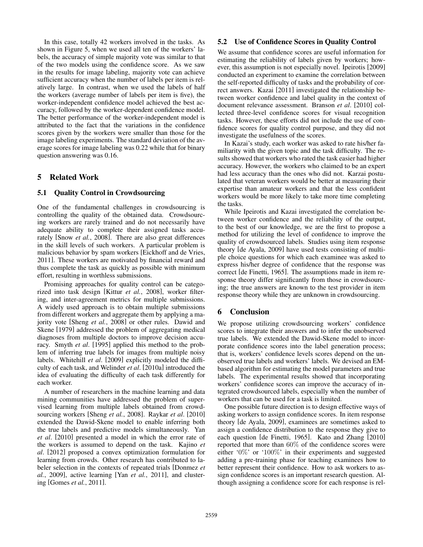In this case, totally 42 workers involved in the tasks. As shown in Figure 5, when we used all ten of the workers' labels, the accuracy of simple majority vote was similar to that of the two models using the confidence score. As we saw in the results for image labeling, majority vote can achieve sufficient accuracy when the number of labels per item is relatively large. In contrast, when we used the labels of half the workers (average number of labels per item is five), the worker-independent confidence model achieved the best accuracy, followed by the worker-dependent confidence model. The better performance of the worker-independent model is attributed to the fact that the variations in the confidence scores given by the workers were smaller than those for the image labeling experiments. The standard deviation of the average scores for image labeling was 0.22 while that for binary question answering was 0.16.

# 5 Related Work

### 5.1 Quality Control in Crowdsourcing

One of the fundamental challenges in crowdsourcing is controlling the quality of the obtained data. Crowdsourcing workers are rarely trained and do not necessarily have adequate ability to complete their assigned tasks accurately [Snow *et al.*, 2008]. There are also great differences in the skill levels of such workers. A particular problem is malicious behavior by spam workers [Eickhoff and de Vries, 2011]. These workers are motivated by financial reward and thus complete the task as quickly as possible with minimum effort, resulting in worthless submissions.

Promising approaches for quality control can be categorized into task design [Kittur *et al.*, 2008], worker filtering, and inter-agreement metrics for multiple submissions. A widely used approach is to obtain multiple submissions from different workers and aggregate them by applying a majority vote [Sheng *et al.*, 2008] or other rules. Dawid and Skene [1979] addressed the problem of aggregating medical diagnoses from multiple doctors to improve decision accuracy. Smyth *et al*. [1995] applied this method to the problem of inferring true labels for images from multiple noisy labels. Whitehill *et al*. [2009] explicitly modeled the difficulty of each task, and Welinder *et al*. [2010a] introduced the idea of evaluating the difficulty of each task differently for each worker.

A number of researchers in the machine learning and data mining communities have addressed the problem of supervised learning from multiple labels obtained from crowdsourcing workers [Sheng *et al.*, 2008]. Raykar *et al*. [2010] extended the Dawid-Skene model to enable inferring both the true labels and predictive models simultaneously. Yan *et al*. [2010] presented a model in which the error rate of the workers is assumed to depend on the task. Kajino *et al*. [2012] proposed a convex optimization formulation for learning from crowds. Other research has contributed to labeler selection in the contexts of repeated trials [Donmez *et al.*, 2009], active learning [Yan *et al.*, 2011], and clustering [Gomes *et al.*, 2011].

### 5.2 Use of Confidence Scores in Quality Control

We assume that confidence scores are useful information for estimating the reliability of labels given by workers; however, this assumption is not especially novel. Ipeirotis [2009] conducted an experiment to examine the correlation between the self-reported difficulty of tasks and the probability of correct answers. Kazai [2011] investigated the relationship between worker confidence and label quality in the context of document relevance assessment. Branson *et al*. [2010] collected three-level confidence scores for visual recognition tasks. However, these efforts did not include the use of confidence scores for quality control purpose, and they did not investigate the usefulness of the scores.

In Kazai's study, each worker was asked to rate his/her familiarity with the given topic and the task difficulty. The results showed that workers who rated the task easier had higher accuracy. However, the workers who claimed to be an expert had less accuracy than the ones who did not. Karzai postulated that veteran workers would be better at measuring their expertise than amateur workers and that the less confident workers would be more likely to take more time completing the tasks.

While Ipeirotis and Kazai investigated the correlation between worker confidence and the reliability of the output, to the best of our knowledge, we are the first to propose a method for utilizing the level of confidence to improve the quality of crowdsourced labels. Studies using item response theory [de Ayala, 2009] have used tests consisting of multiple choice questions for which each examinee was asked to express his/her degree of confidence that the response was correct [de Finetti, 1965]. The assumptions made in item response theory differ significantly from those in crowdsourcing; the true answers are known to the test provider in item response theory while they are unknown in crowdsourcing.

## 6 Conclusion

We propose utilizing crowdsourcing workers' confidence scores to integrate their answers and to infer the unobserved true labels. We extended the Dawid-Skene model to incorporate confidence scores into the label generation process; that is, workers' confidence levels scores depend on the unobserved true labels and workers' labels. We devised an EMbased algorithm for estimating the model parameters and true labels. The experimental results showed that incorporating workers' confidence scores can improve the accuracy of integrated crowdsourced labels, especially when the number of workers that can be used for a task is limited.

One possible future direction is to design effective ways of asking workers to assign confidence scores. In item response theory [de Ayala, 2009], examinees are sometimes asked to assign a confidence distribution to the response they give to each question [de Finetti, 1965]. Kato and Zhang [2010] reported that more than 60% of the confidence scores were either '0%' or '100%' in their experiments and suggested adding a pre-training phase for teaching examinees how to better represent their confidence. How to ask workers to assign confidence scores is an important research question. Although assigning a confidence score for each response is rel